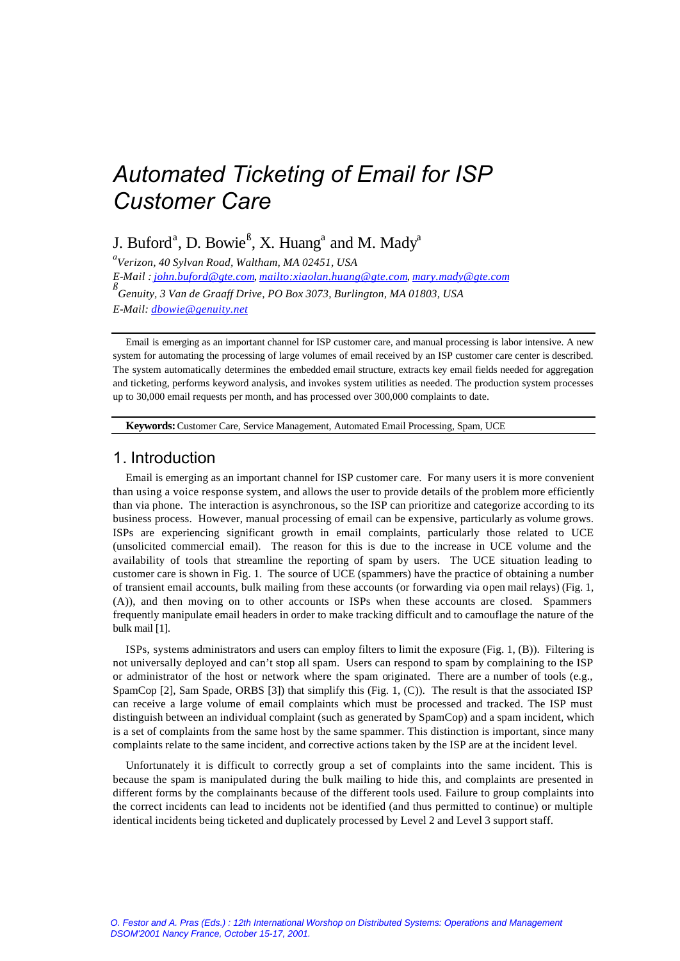J. Buford<sup>a</sup>, D. Bowie<sup>ß</sup>, X. Huang<sup>a</sup> and M. Mady<sup>a</sup>

*a Verizon, 40 Sylvan Road, Waltham, MA 02451, USA E-Mail : john.buford@gte.com, mailto:xiaolan.huang@gte.com, mary.mady@gte.com ß Genuity, 3 Van de Graaff Drive, PO Box 3073, Burlington, MA 01803, USA E-Mail: dbowie@genuity.net*

Email is emerging as an important channel for ISP customer care, and manual processing is labor intensive. A new system for automating the processing of large volumes of email received by an ISP customer care center is described. The system automatically determines the embedded email structure, extracts key email fields needed for aggregation and ticketing, performs keyword analysis, and invokes system utilities as needed. The production system processes up to 30,000 email requests per month, and has processed over 300,000 complaints to date.

**Keywords:**Customer Care, Service Management, Automated Email Processing, Spam, UCE

# 1. Introduction

Email is emerging as an important channel for ISP customer care. For many users it is more convenient than using a voice response system, and allows the user to provide details of the problem more efficiently than via phone. The interaction is asynchronous, so the ISP can prioritize and categorize according to its business process. However, manual processing of email can be expensive, particularly as volume grows. ISPs are experiencing significant growth in email complaints, particularly those related to UCE (unsolicited commercial email). The reason for this is due to the increase in UCE volume and the availability of tools that streamline the reporting of spam by users. The UCE situation leading to customer care is shown in Fig. 1. The source of UCE (spammers) have the practice of obtaining a number of transient email accounts, bulk mailing from these accounts (or forwarding via open mail relays) (Fig. 1, (A)), and then moving on to other accounts or ISPs when these accounts are closed. Spammers frequently manipulate email headers in order to make tracking difficult and to camouflage the nature of the bulk mail [1].

ISPs, systems administrators and users can employ filters to limit the exposure (Fig. 1, (B)). Filtering is not universally deployed and can't stop all spam. Users can respond to spam by complaining to the ISP or administrator of the host or network where the spam originated. There are a number of tools (e.g., SpamCop [2], Sam Spade, ORBS [3]) that simplify this (Fig. 1, (C)). The result is that the associated ISP can receive a large volume of email complaints which must be processed and tracked. The ISP must distinguish between an individual complaint (such as generated by SpamCop) and a spam incident, which is a set of complaints from the same host by the same spammer. This distinction is important, since many complaints relate to the same incident, and corrective actions taken by the ISP are at the incident level.

Unfortunately it is difficult to correctly group a set of complaints into the same incident. This is because the spam is manipulated during the bulk mailing to hide this, and complaints are presented in different forms by the complainants because of the different tools used. Failure to group complaints into the correct incidents can lead to incidents not be identified (and thus permitted to continue) or multiple identical incidents being ticketed and duplicately processed by Level 2 and Level 3 support staff.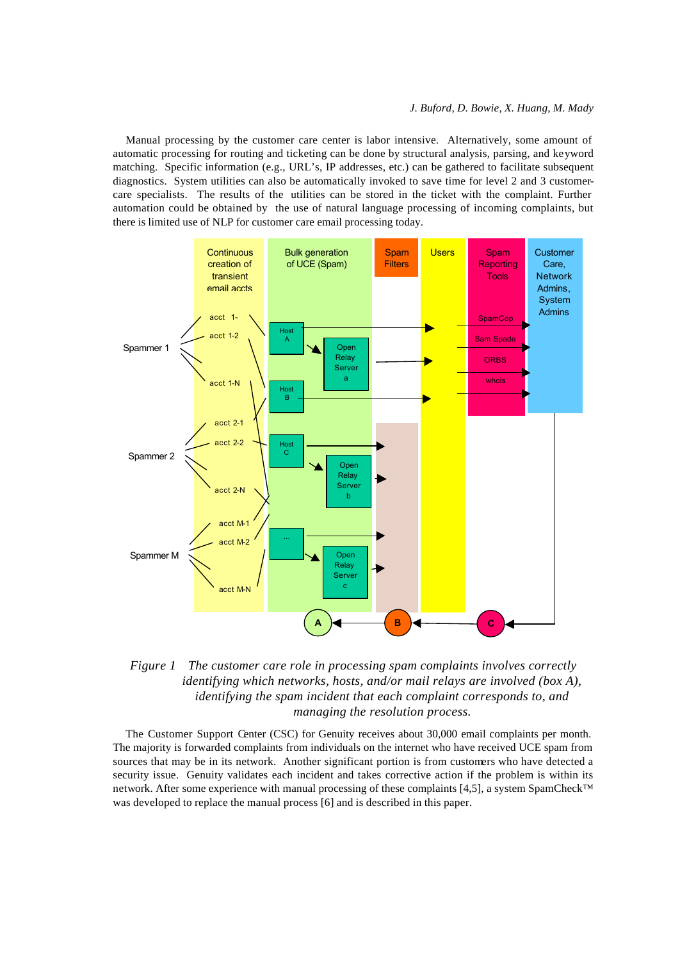Manual processing by the customer care center is labor intensive. Alternatively, some amount of automatic processing for routing and ticketing can be done by structural analysis, parsing, and keyword matching. Specific information (e.g., URL's, IP addresses, etc.) can be gathered to facilitate subsequent diagnostics. System utilities can also be automatically invoked to save time for level 2 and 3 customercare specialists. The results of the utilities can be stored in the ticket with the complaint. Further automation could be obtained by the use of natural language processing of incoming complaints, but there is limited use of NLP for customer care email processing today.





The Customer Support Center (CSC) for Genuity receives about 30,000 email complaints per month. The majority is forwarded complaints from individuals on the internet who have received UCE spam from sources that may be in its network. Another significant portion is from customers who have detected a security issue. Genuity validates each incident and takes corrective action if the problem is within its network. After some experience with manual processing of these complaints [4,5], a system SpamCheck™ was developed to replace the manual process [6] and is described in this paper.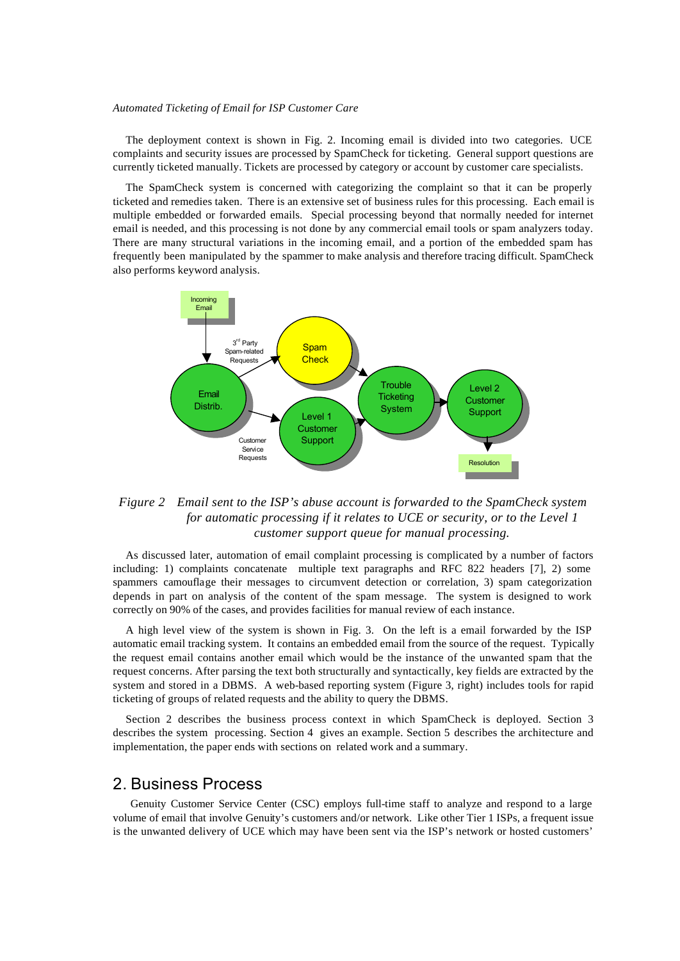The deployment context is shown in Fig. 2. Incoming email is divided into two categories. UCE complaints and security issues are processed by SpamCheck for ticketing. General support questions are currently ticketed manually. Tickets are processed by category or account by customer care specialists.

The SpamCheck system is concerned with categorizing the complaint so that it can be properly ticketed and remedies taken. There is an extensive set of business rules for this processing. Each email is multiple embedded or forwarded emails. Special processing beyond that normally needed for internet email is needed, and this processing is not done by any commercial email tools or spam analyzers today. There are many structural variations in the incoming email, and a portion of the embedded spam has frequently been manipulated by the spammer to make analysis and therefore tracing difficult. SpamCheck also performs keyword analysis.



### *Figure 2 Email sent to the ISP's abuse account is forwarded to the SpamCheck system for automatic processing if it relates to UCE or security, or to the Level 1 customer support queue for manual processing.*

As discussed later, automation of email complaint processing is complicated by a number of factors including: 1) complaints concatenate multiple text paragraphs and RFC 822 headers [7], 2) some spammers camouflage their messages to circumvent detection or correlation, 3) spam categorization depends in part on analysis of the content of the spam message. The system is designed to work correctly on 90% of the cases, and provides facilities for manual review of each instance.

A high level view of the system is shown in Fig. 3. On the left is a email forwarded by the ISP automatic email tracking system. It contains an embedded email from the source of the request. Typically the request email contains another email which would be the instance of the unwanted spam that the request concerns. After parsing the text both structurally and syntactically, key fields are extracted by the system and stored in a DBMS. A web-based reporting system (Figure 3, right) includes tools for rapid ticketing of groups of related requests and the ability to query the DBMS.

Section 2 describes the business process context in which SpamCheck is deployed. Section 3 describes the system processing. Section 4 gives an example. Section 5 describes the architecture and implementation, the paper ends with sections on related work and a summary.

## 2. Business Process

 Genuity Customer Service Center (CSC) employs full-time staff to analyze and respond to a large volume of email that involve Genuity's customers and/or network. Like other Tier 1 ISPs, a frequent issue is the unwanted delivery of UCE which may have been sent via the ISP's network or hosted customers'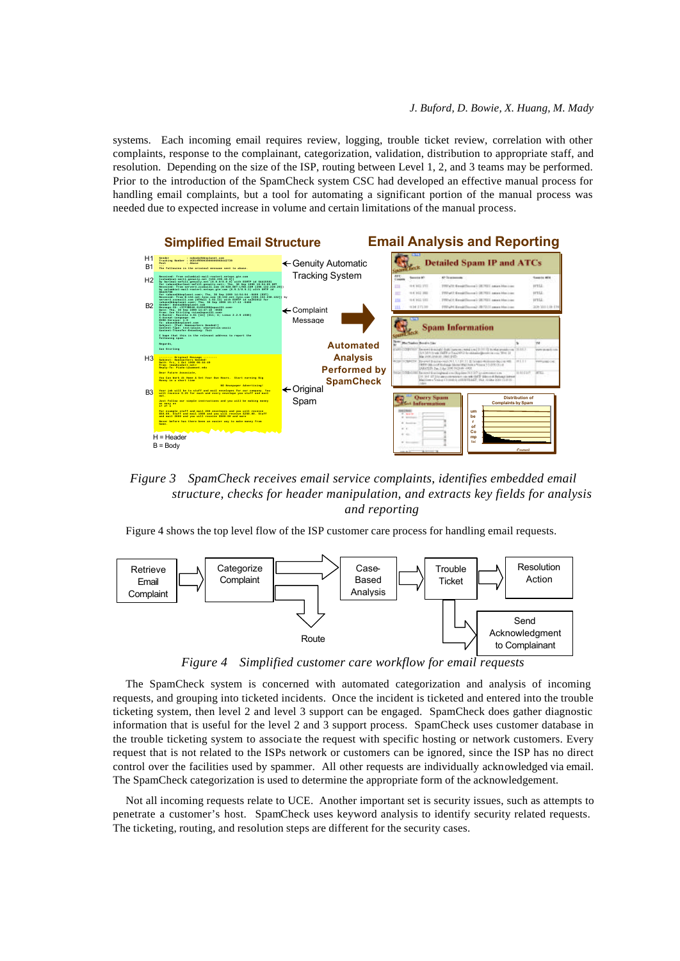systems. Each incoming email requires review, logging, trouble ticket review, correlation with other complaints, response to the complainant, categorization, validation, distribution to appropriate staff, and resolution. Depending on the size of the ISP, routing between Level 1, 2, and 3 teams may be performed. Prior to the introduction of the SpamCheck system CSC had developed an effective manual process for handling email complaints, but a tool for automating a significant portion of the manual process was needed due to expected increase in volume and certain limitations of the manual process.



*Figure 3 SpamCheck receives email service complaints, identifies embedded email structure, checks for header manipulation, and extracts key fields for analysis and reporting*

Figure 4 shows the top level flow of the ISP customer care process for handling email requests.



*Figure 4 Simplified customer care workflow for email requests*

The SpamCheck system is concerned with automated categorization and analysis of incoming requests, and grouping into ticketed incidents. Once the incident is ticketed and entered into the trouble ticketing system, then level 2 and level 3 support can be engaged. SpamCheck does gather diagnostic information that is useful for the level 2 and 3 support process. SpamCheck uses customer database in the trouble ticketing system to associate the request with specific hosting or network customers. Every request that is not related to the ISPs network or customers can be ignored, since the ISP has no direct control over the facilities used by spammer. All other requests are individually acknowledged via email. The SpamCheck categorization is used to determine the appropriate form of the acknowledgement.

Not all incoming requests relate to UCE. Another important set is security issues, such as attempts to penetrate a customer's host. SpamCheck uses keyword analysis to identify security related requests. The ticketing, routing, and resolution steps are different for the security cases.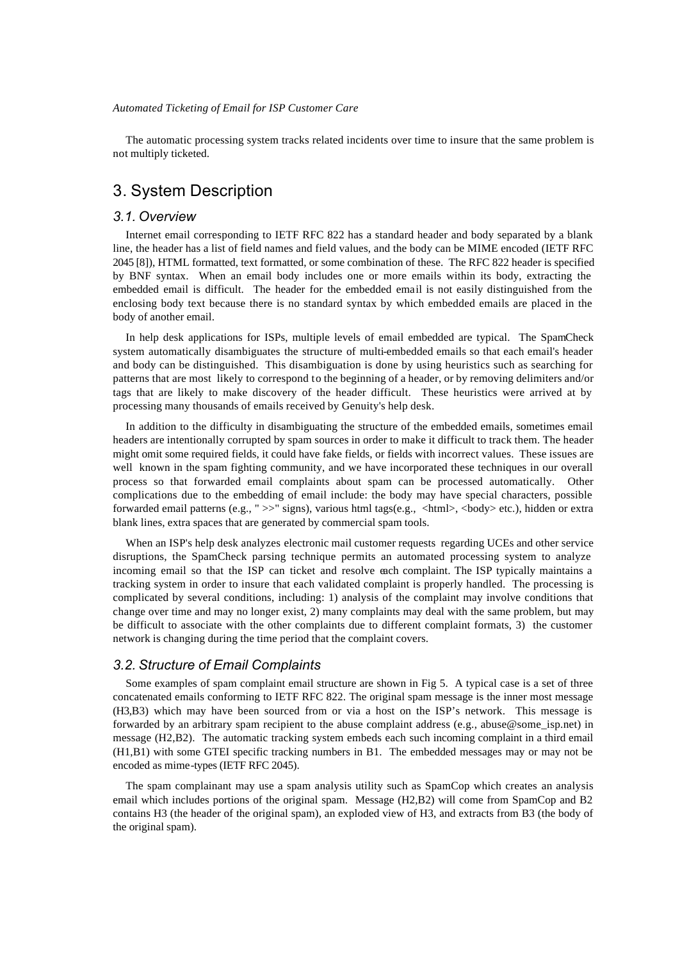The automatic processing system tracks related incidents over time to insure that the same problem is not multiply ticketed.

# 3. System Description

#### *3.1. Overview*

Internet email corresponding to IETF RFC 822 has a standard header and body separated by a blank line, the header has a list of field names and field values, and the body can be MIME encoded (IETF RFC 2045 [8]), HTML formatted, text formatted, or some combination of these. The RFC 822 header is specified by BNF syntax. When an email body includes one or more emails within its body, extracting the embedded email is difficult. The header for the embedded email is not easily distinguished from the enclosing body text because there is no standard syntax by which embedded emails are placed in the body of another email.

In help desk applications for ISPs, multiple levels of email embedded are typical. The SpamCheck system automatically disambiguates the structure of multi-embedded emails so that each email's header and body can be distinguished. This disambiguation is done by using heuristics such as searching for patterns that are most likely to correspond to the beginning of a header, or by removing delimiters and/or tags that are likely to make discovery of the header difficult. These heuristics were arrived at by processing many thousands of emails received by Genuity's help desk.

In addition to the difficulty in disambiguating the structure of the embedded emails, sometimes email headers are intentionally corrupted by spam sources in order to make it difficult to track them. The header might omit some required fields, it could have fake fields, or fields with incorrect values. These issues are well known in the spam fighting community, and we have incorporated these techniques in our overall process so that forwarded email complaints about spam can be processed automatically. Other complications due to the embedding of email include: the body may have special characters, possible forwarded email patterns (e.g., "  $>>$ " signs), various html tags(e.g., <html>, <br/> <br/> <br/> <br/>(dden or extra blank lines, extra spaces that are generated by commercial spam tools.

When an ISP's help desk analyzes electronic mail customer requests regarding UCEs and other service disruptions, the SpamCheck parsing technique permits an automated processing system to analyze incoming email so that the ISP can ticket and resolve each complaint. The ISP typically maintains a tracking system in order to insure that each validated complaint is properly handled. The processing is complicated by several conditions, including: 1) analysis of the complaint may involve conditions that change over time and may no longer exist, 2) many complaints may deal with the same problem, but may be difficult to associate with the other complaints due to different complaint formats, 3) the customer network is changing during the time period that the complaint covers.

#### *3.2. Structure of Email Complaints*

Some examples of spam complaint email structure are shown in Fig 5. A typical case is a set of three concatenated emails conforming to IETF RFC 822. The original spam message is the inner most message (H3,B3) which may have been sourced from or via a host on the ISP's network. This message is forwarded by an arbitrary spam recipient to the abuse complaint address (e.g., abuse@some\_isp.net) in message (H2,B2). The automatic tracking system embeds each such incoming complaint in a third email (H1,B1) with some GTEI specific tracking numbers in B1. The embedded messages may or may not be encoded as mime-types (IETF RFC 2045).

The spam complainant may use a spam analysis utility such as SpamCop which creates an analysis email which includes portions of the original spam. Message (H2,B2) will come from SpamCop and B2 contains H3 (the header of the original spam), an exploded view of H3, and extracts from B3 (the body of the original spam).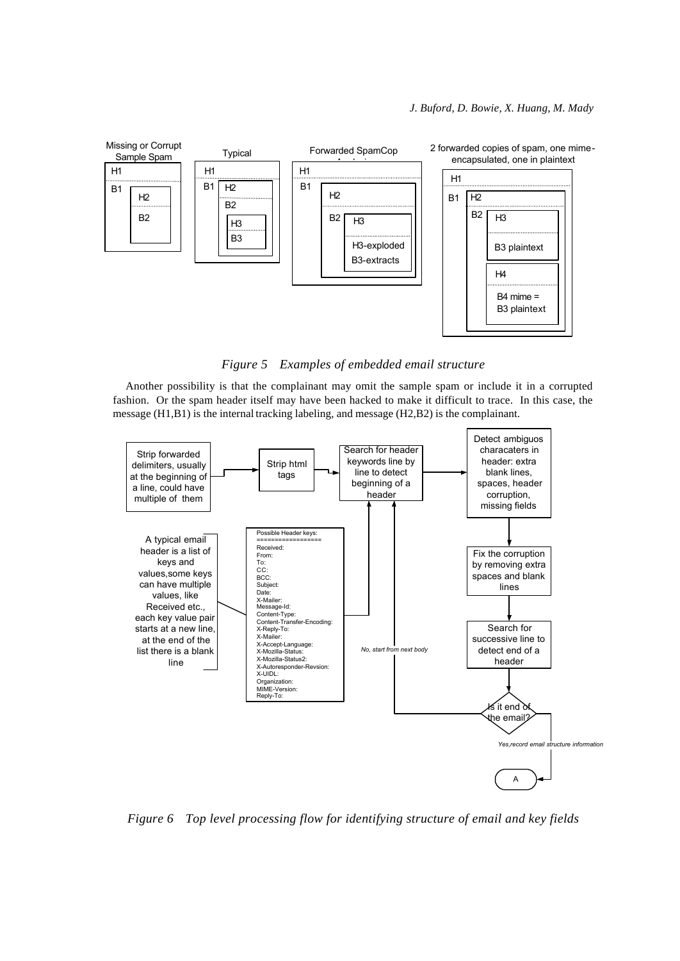

*Figure 5 Examples of embedded email structure*

Another possibility is that the complainant may omit the sample spam or include it in a corrupted fashion. Or the spam header itself may have been hacked to make it difficult to trace. In this case, the message (H1,B1) is the internal tracking labeling, and message (H2,B2) is the complainant.



*Figure 6 Top level processing flow for identifying structure of email and key fields*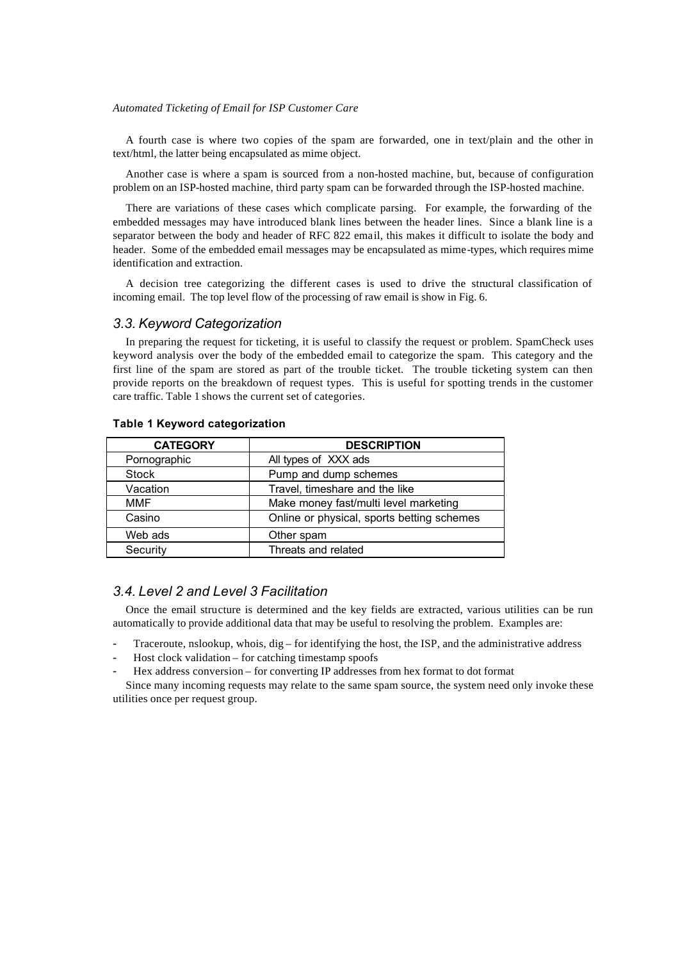A fourth case is where two copies of the spam are forwarded, one in text/plain and the other in text/html, the latter being encapsulated as mime object.

Another case is where a spam is sourced from a non-hosted machine, but, because of configuration problem on an ISP-hosted machine, third party spam can be forwarded through the ISP-hosted machine.

There are variations of these cases which complicate parsing. For example, the forwarding of the embedded messages may have introduced blank lines between the header lines. Since a blank line is a separator between the body and header of RFC 822 email, this makes it difficult to isolate the body and header. Some of the embedded email messages may be encapsulated as mime-types, which requires mime identification and extraction.

A decision tree categorizing the different cases is used to drive the structural classification of incoming email. The top level flow of the processing of raw email is show in Fig. 6.

#### *3.3. Keyword Categorization*

In preparing the request for ticketing, it is useful to classify the request or problem. SpamCheck uses keyword analysis over the body of the embedded email to categorize the spam. This category and the first line of the spam are stored as part of the trouble ticket. The trouble ticketing system can then provide reports on the breakdown of request types. This is useful for spotting trends in the customer care traffic. Table 1 shows the current set of categories.

| <b>CATEGORY</b> | <b>DESCRIPTION</b>                         |
|-----------------|--------------------------------------------|
| Pornographic    | All types of XXX ads                       |
| Stock           | Pump and dump schemes                      |
| Vacation        | Travel, timeshare and the like             |
| <b>MMF</b>      | Make money fast/multi level marketing      |
| Casino          | Online or physical, sports betting schemes |
| Web ads         | Other spam                                 |
| Security        | Threats and related                        |

#### **Table 1 Keyword categorization**

#### *3.4. Level 2 and Level 3 Facilitation*

Once the email structure is determined and the key fields are extracted, various utilities can be run automatically to provide additional data that may be useful to resolving the problem. Examples are:

- Traceroute, nslookup, whois,  $dig$  for identifying the host, the ISP, and the administrative address
- Host clock validation for catching timestamp spoofs
- Hex address conversion for converting IP addresses from hex format to dot format

Since many incoming requests may relate to the same spam source, the system need only invoke these utilities once per request group.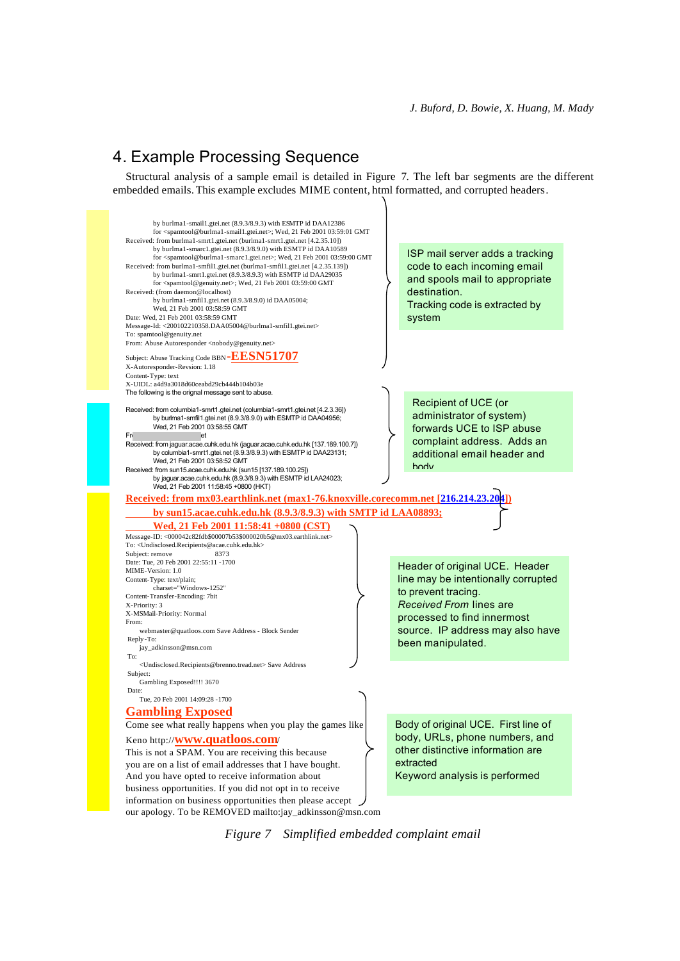# 4. Example Processing Sequence

Structural analysis of a sample email is detailed in Figure 7. The left bar segments are the different embedded emails. This example excludes MIME content, html formatted, and corrupted headers.



*Figure 7 Simplified embedded complaint email*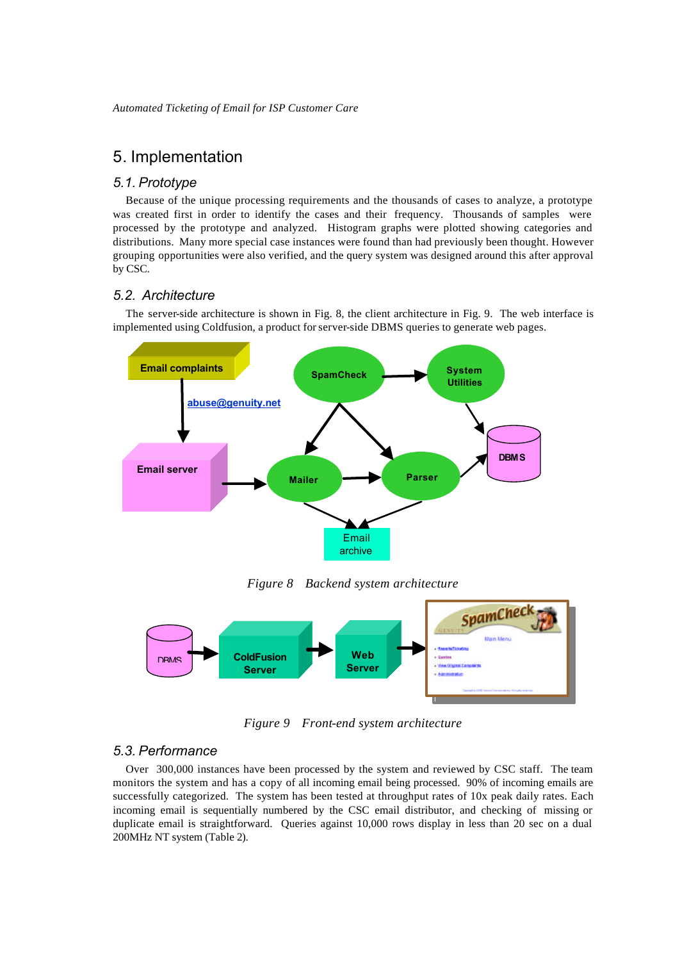# 5. Implementation

#### *5.1. Prototype*

Because of the unique processing requirements and the thousands of cases to analyze, a prototype was created first in order to identify the cases and their frequency. Thousands of samples were processed by the prototype and analyzed. Histogram graphs were plotted showing categories and distributions. Many more special case instances were found than had previously been thought. However grouping opportunities were also verified, and the query system was designed around this after approval by CSC.

### *5.2. Architecture*

The server-side architecture is shown in Fig. 8, the client architecture in Fig. 9. The web interface is implemented using Coldfusion, a product for server-side DBMS queries to generate web pages.



*Figure 8 Backend system architecture*



*Figure 9 Front-end system architecture*

# *5.3. Performance*

Over 300,000 instances have been processed by the system and reviewed by CSC staff. The team monitors the system and has a copy of all incoming email being processed. 90% of incoming emails are successfully categorized. The system has been tested at throughput rates of 10x peak daily rates. Each incoming email is sequentially numbered by the CSC email distributor, and checking of missing or duplicate email is straightforward. Queries against 10,000 rows display in less than 20 sec on a dual 200MHz NT system (Table 2).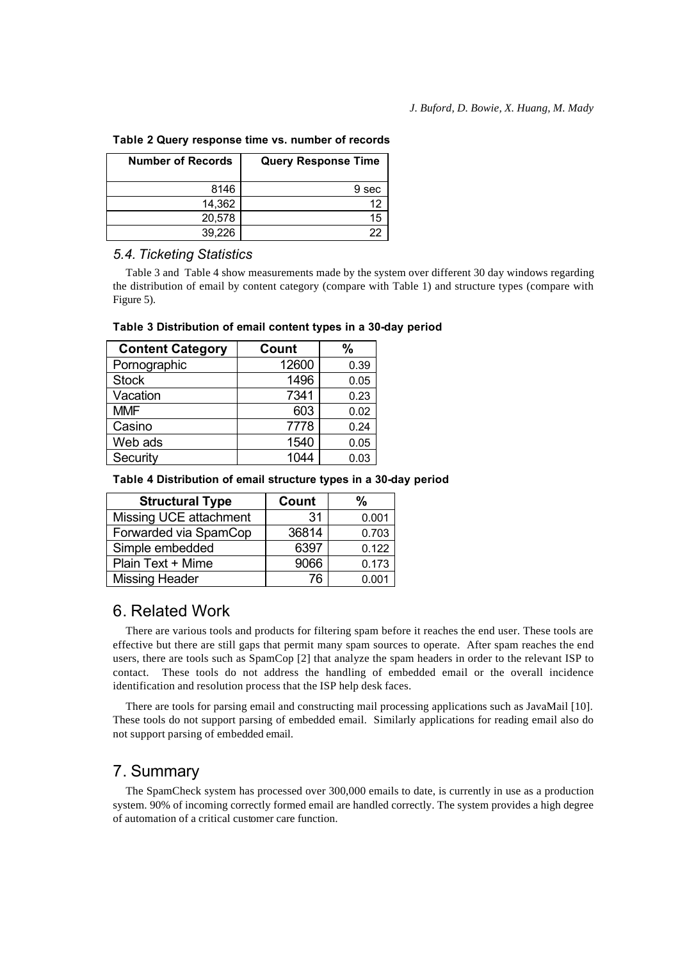**Table 2 Query response time vs. number of records**

| <b>Number of Records</b> | <b>Query Response Time</b> |  |
|--------------------------|----------------------------|--|
| 8146                     | 9 sec                      |  |
| 14,362                   |                            |  |
| 20,578                   |                            |  |
| 39.226                   |                            |  |

#### *5.4. Ticketing Statistics*

Table 3 and Table 4 show measurements made by the system over different 30 day windows regarding the distribution of email by content category (compare with Table 1) and structure types (compare with Figure 5).

| <b>Content Category</b> | Count | %    |
|-------------------------|-------|------|
| Pornographic            | 12600 | 0.39 |
| <b>Stock</b>            | 1496  | 0.05 |
| Vacation                | 7341  | 0.23 |
| <b>MMF</b>              | 603   | 0.02 |
| Casino                  | 7778  | 0.24 |
| Web ads                 | 1540  | 0.05 |
| Security                | 1044  | 0.03 |

#### **Table 3 Distribution of email content types in a 30-day period**

**Table 4 Distribution of email structure types in a 30-day period**

| <b>Structural Type</b> | Count | %     |
|------------------------|-------|-------|
| Missing UCE attachment | 31    | 0.001 |
| Forwarded via SpamCop  | 36814 | 0.703 |
| Simple embedded        | 6397  | 0.122 |
| Plain Text + Mime      | 9066  | 0.173 |
| <b>Missing Header</b>  | 76    |       |

# 6. Related Work

There are various tools and products for filtering spam before it reaches the end user. These tools are effective but there are still gaps that permit many spam sources to operate. After spam reaches the end users, there are tools such as SpamCop [2] that analyze the spam headers in order to the relevant ISP to contact. These tools do not address the handling of embedded email or the overall incidence identification and resolution process that the ISP help desk faces.

There are tools for parsing email and constructing mail processing applications such as JavaMail [10]. These tools do not support parsing of embedded email. Similarly applications for reading email also do not support parsing of embedded email.

# 7. Summary

The SpamCheck system has processed over 300,000 emails to date, is currently in use as a production system. 90% of incoming correctly formed email are handled correctly. The system provides a high degree of automation of a critical customer care function.